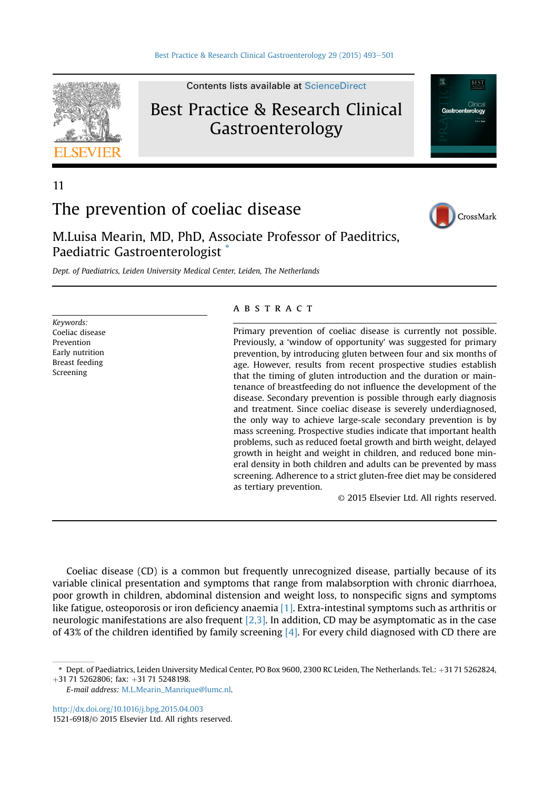

Best Practice & Research Clinical

Contents lists available at [ScienceDirect](www.sciencedirect.com/science/journal/15216918)

# Gastroenterology

**REST** Gastroenterology

# 11

# The prevention of coeliac disease



M.Luisa Mearin, MD, PhD, Associate Professor of Paeditrics, Paediatric Gastroenterologist \*

Dept. of Paediatrics, Leiden University Medical Center, Leiden, The Netherlands

Keywords: Coeliac disease Prevention Early nutrition Breast feeding Screening

# **ABSTRACT**

Primary prevention of coeliac disease is currently not possible. Previously, a 'window of opportunity' was suggested for primary prevention, by introducing gluten between four and six months of age. However, results from recent prospective studies establish that the timing of gluten introduction and the duration or maintenance of breastfeeding do not influence the development of the disease. Secondary prevention is possible through early diagnosis and treatment. Since coeliac disease is severely underdiagnosed, the only way to achieve large-scale secondary prevention is by mass screening. Prospective studies indicate that important health problems, such as reduced foetal growth and birth weight, delayed growth in height and weight in children, and reduced bone mineral density in both children and adults can be prevented by mass screening. Adherence to a strict gluten-free diet may be considered as tertiary prevention.

© 2015 Elsevier Ltd. All rights reserved.

Coeliac disease (CD) is a common but frequently unrecognized disease, partially because of its variable clinical presentation and symptoms that range from malabsorption with chronic diarrhoea, poor growth in children, abdominal distension and weight loss, to nonspecific signs and symptoms like fatigue, osteoporosis or iron deficiency anaemia [\[1\]](#page-6-0). Extra-intestinal symptoms such as arthritis or neurologic manifestations are also frequent [\[2,3\].](#page-6-0) In addition, CD may be asymptomatic as in the case of 43% of the children identified by family screening [\[4\]](#page-6-0). For every child diagnosed with CD there are

<http://dx.doi.org/10.1016/j.bpg.2015.04.003>

<sup>\*</sup> Dept. of Paediatrics, Leiden University Medical Center, PO Box 9600, 2300 RC Leiden, The Netherlands. Tel.: +31 71 5262824,  $+31$  71 5262806; fax:  $+31$  71 5248198.

E-mail address: [M.L.Mearin\\_Manrique@lumc.nl](mailto:M.L.Mearin_Manrique@lumc.nl).

<sup>1521-6918/</sup>© 2015 Elsevier Ltd. All rights reserved.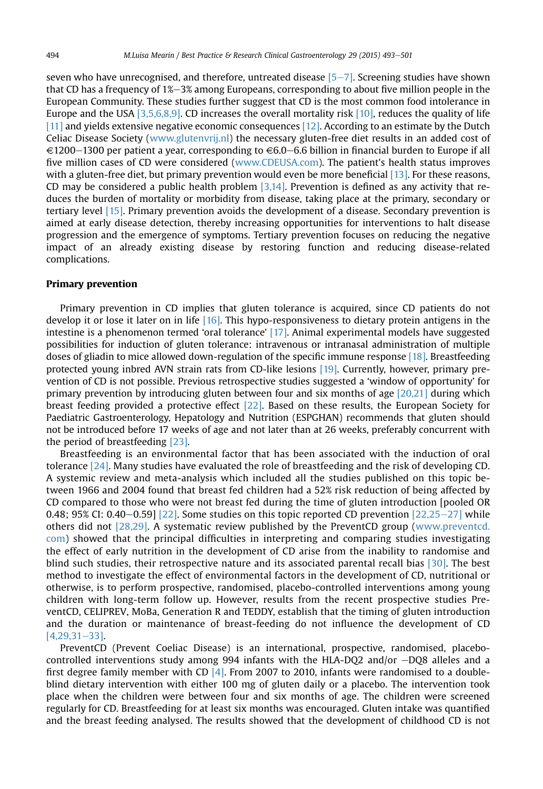seven who have unrecognised, and therefore, untreated disease  $[5-7]$  $[5-7]$  $[5-7]$ . Screening studies have shown that CD has a frequency of  $1\% - 3\%$  among Europeans, corresponding to about five million people in the European Community. These studies further suggest that CD is the most common food intolerance in Europe and the USA [\[3,5,6,8,9\]](#page-6-0). CD increases the overall mortality risk [\[10\],](#page-6-0) reduces the quality of life [\[11\]](#page-6-0) and yields extensive negative economic consequences [\[12\].](#page-6-0) According to an estimate by the Dutch Celiac Disease Society [\(www.glutenvrij.nl\)](http://www.glutenvrij.nl) the necessary gluten-free diet results in an added cost of  $\in$ 1200–1300 per patient a year, corresponding to  $\in$ 6.0–6.6 billion in financial burden to Europe if all five million cases of CD were considered ([www.CDEUSA.com\)](http://www.CDEUSA.com). The patient's health status improves with a gluten-free diet, but primary prevention would even be more beneficial [\[13\]](#page-6-0). For these reasons, CD may be considered a public health problem  $[3,14]$ . Prevention is defined as any activity that reduces the burden of mortality or morbidity from disease, taking place at the primary, secondary or tertiary level [\[15\].](#page-6-0) Primary prevention avoids the development of a disease. Secondary prevention is aimed at early disease detection, thereby increasing opportunities for interventions to halt disease progression and the emergence of symptoms. Tertiary prevention focuses on reducing the negative impact of an already existing disease by restoring function and reducing disease-related complications.

### Primary prevention

Primary prevention in CD implies that gluten tolerance is acquired, since CD patients do not develop it or lose it later on in life [\[16\].](#page-6-0) This hypo-responsiveness to dietary protein antigens in the intestine is a phenomenon termed 'oral tolerance' [\[17\]](#page-6-0). Animal experimental models have suggested possibilities for induction of gluten tolerance: intravenous or intranasal administration of multiple doses of gliadin to mice allowed down-regulation of the specific immune response [\[18\].](#page-6-0) Breastfeeding protected young inbred AVN strain rats from CD-like lesions [\[19\]](#page-6-0). Currently, however, primary prevention of CD is not possible. Previous retrospective studies suggested a 'window of opportunity' for primary prevention by introducing gluten between four and six months of age [\[20,21\]](#page-6-0) during which breast feeding provided a protective effect [\[22\].](#page-6-0) Based on these results, the European Society for Paediatric Gastroenterology, Hepatology and Nutrition (ESPGHAN) recommends that gluten should not be introduced before 17 weeks of age and not later than at 26 weeks, preferably concurrent with the period of breastfeeding [\[23\].](#page-6-0)

Breastfeeding is an environmental factor that has been associated with the induction of oral tolerance [\[24\].](#page-6-0) Many studies have evaluated the role of breastfeeding and the risk of developing CD. A systemic review and meta-analysis which included all the studies published on this topic between 1966 and 2004 found that breast fed children had a 52% risk reduction of being affected by CD compared to those who were not breast fed during the time of gluten introduction [pooled OR 0.48; 95% CI: 0.40–0.59] [\[22\].](#page-6-0) Some studies on this topic reported CD prevention  $[22,25-27]$  $[22,25-27]$  $[22,25-27]$  while others did not [\[28,29\]](#page-6-0). A systematic review published by the PreventCD group [\(www.preventcd.](http://www.preventcd.com) [com](http://www.preventcd.com)) showed that the principal difficulties in interpreting and comparing studies investigating the effect of early nutrition in the development of CD arise from the inability to randomise and blind such studies, their retrospective nature and its associated parental recall bias [\[30\]](#page-6-0). The best method to investigate the effect of environmental factors in the development of CD, nutritional or otherwise, is to perform prospective, randomised, placebo-controlled interventions among young children with long-term follow up. However, results from the recent prospective studies PreventCD, CELIPREV, MoBa, Generation R and TEDDY, establish that the timing of gluten introduction and the duration or maintenance of breast-feeding do not influence the development of CD  $[4.29.31 - 33]$  $[4.29.31 - 33]$ .

PreventCD (Prevent Coeliac Disease) is an international, prospective, randomised, placebocontrolled interventions study among 994 infants with the HLA-DQ2 and/or  $-DQ8$  alleles and a first degree family member with CD  $[4]$ . From 2007 to 2010, infants were randomised to a doubleblind dietary intervention with either 100 mg of gluten daily or a placebo. The intervention took place when the children were between four and six months of age. The children were screened regularly for CD. Breastfeeding for at least six months was encouraged. Gluten intake was quantified and the breast feeding analysed. The results showed that the development of childhood CD is not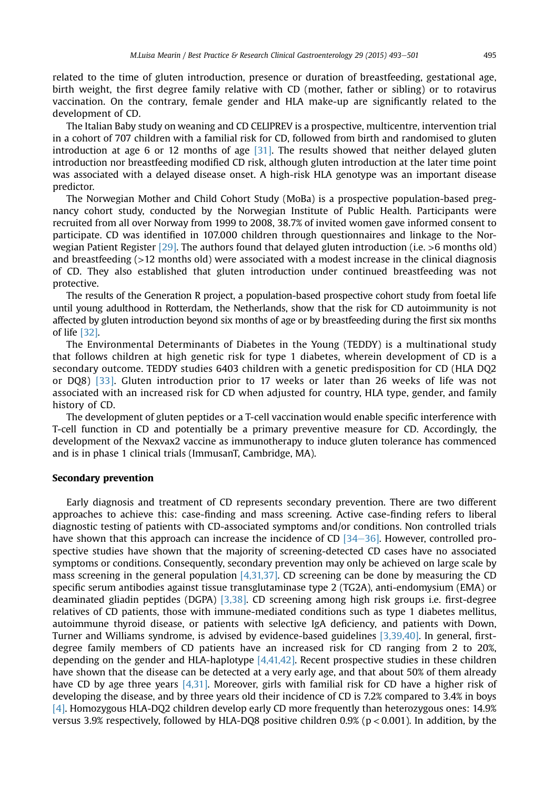related to the time of gluten introduction, presence or duration of breastfeeding, gestational age, birth weight, the first degree family relative with CD (mother, father or sibling) or to rotavirus vaccination. On the contrary, female gender and HLA make-up are significantly related to the development of CD.

The Italian Baby study on weaning and CD CELIPREV is a prospective, multicentre, intervention trial in a cohort of 707 children with a familial risk for CD, followed from birth and randomised to gluten introduction at age 6 or 12 months of age [\[31\]](#page-6-0). The results showed that neither delayed gluten introduction nor breastfeeding modified CD risk, although gluten introduction at the later time point was associated with a delayed disease onset. A high-risk HLA genotype was an important disease predictor.

The Norwegian Mother and Child Cohort Study (MoBa) is a prospective population-based pregnancy cohort study, conducted by the Norwegian Institute of Public Health. Participants were recruited from all over Norway from 1999 to 2008, 38.7% of invited women gave informed consent to participate. CD was identified in 107.000 children through questionnaires and linkage to the Norwegian Patient Register [\[29\].](#page-6-0) The authors found that delayed gluten introduction (i.e. >6 months old) and breastfeeding (>12 months old) were associated with a modest increase in the clinical diagnosis of CD. They also established that gluten introduction under continued breastfeeding was not protective.

The results of the Generation R project, a population-based prospective cohort study from foetal life until young adulthood in Rotterdam, the Netherlands, show that the risk for CD autoimmunity is not affected by gluten introduction beyond six months of age or by breastfeeding during the first six months of life [\[32\]](#page-6-0).

The Environmental Determinants of Diabetes in the Young (TEDDY) is a multinational study that follows children at high genetic risk for type 1 diabetes, wherein development of CD is a secondary outcome. TEDDY studies 6403 children with a genetic predisposition for CD (HLA DQ2 or DQ8) [\[33\]](#page-6-0). Gluten introduction prior to 17 weeks or later than 26 weeks of life was not associated with an increased risk for CD when adjusted for country, HLA type, gender, and family history of CD.

The development of gluten peptides or a T-cell vaccination would enable specific interference with T-cell function in CD and potentially be a primary preventive measure for CD. Accordingly, the development of the Nexvax2 vaccine as immunotherapy to induce gluten tolerance has commenced and is in phase 1 clinical trials (ImmusanT, Cambridge, MA).

### Secondary prevention

Early diagnosis and treatment of CD represents secondary prevention. There are two different approaches to achieve this: case-finding and mass screening. Active case-finding refers to liberal diagnostic testing of patients with CD-associated symptoms and/or conditions. Non controlled trials have shown that this approach can increase the incidence of CD  $[34-36]$  $[34-36]$ . However, controlled prospective studies have shown that the majority of screening-detected CD cases have no associated symptoms or conditions. Consequently, secondary prevention may only be achieved on large scale by mass screening in the general population  $[4,31,37]$ . CD screening can be done by measuring the CD specific serum antibodies against tissue transglutaminase type 2 (TG2A), anti-endomysium (EMA) or deaminated gliadin peptides (DGPA) [\[3,38\]](#page-6-0). CD screening among high risk groups i.e. first-degree relatives of CD patients, those with immune-mediated conditions such as type 1 diabetes mellitus, autoimmune thyroid disease, or patients with selective IgA deficiency, and patients with Down, Turner and Williams syndrome, is advised by evidence-based guidelines [\[3,39,40\].](#page-6-0) In general, firstdegree family members of CD patients have an increased risk for CD ranging from 2 to 20%, depending on the gender and HLA-haplotype  $[4,41,42]$ . Recent prospective studies in these children have shown that the disease can be detected at a very early age, and that about 50% of them already have CD by age three years [\[4,31\].](#page-6-0) Moreover, girls with familial risk for CD have a higher risk of developing the disease, and by three years old their incidence of CD is 7.2% compared to 3.4% in boys [\[4\].](#page-6-0) Homozygous HLA-DQ2 children develop early CD more frequently than heterozygous ones: 14.9% versus 3.9% respectively, followed by HLA-DQ8 positive children 0.9% (p < 0.001). In addition, by the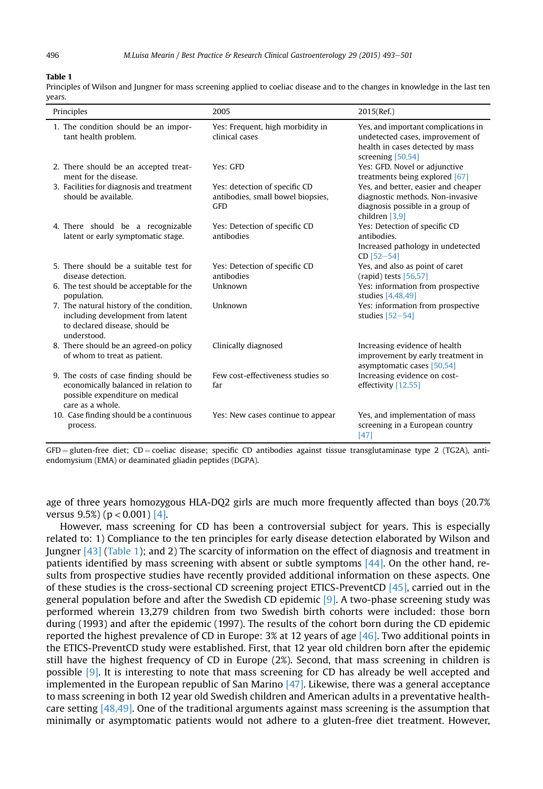### Table 1

Principles of Wilson and Jungner for mass screening applied to coeliac disease and to the changes in knowledge in the last ten years.

| Principles                                                                                                                            | 2005                                                                             | 2015(Ref.)                                                                                                                       |
|---------------------------------------------------------------------------------------------------------------------------------------|----------------------------------------------------------------------------------|----------------------------------------------------------------------------------------------------------------------------------|
| 1. The condition should be an impor-<br>tant health problem.                                                                          | Yes: Frequent, high morbidity in<br>clinical cases                               | Yes, and important complications in<br>undetected cases, improvement of<br>health in cases detected by mass<br>screening [50,54] |
| 2. There should be an accepted treat-<br>ment for the disease.                                                                        | Yes: GFD                                                                         | Yes: GFD. Novel or adjunctive<br>treatments being explored [67]                                                                  |
| 3. Facilities for diagnosis and treatment<br>should be available.                                                                     | Yes: detection of specific CD<br>antibodies, small bowel biopsies,<br><b>GFD</b> | Yes, and better, easier and cheaper<br>diagnostic methods. Non-invasive<br>diagnosis possible in a group of<br>children $[3,9]$  |
| 4. There should be a recognizable<br>latent or early symptomatic stage.                                                               | Yes: Detection of specific CD<br>antibodies                                      | Yes: Detection of specific CD<br>antibodies.<br>Increased pathology in undetected<br>$CD$ [52-54]                                |
| 5. There should be a suitable test for<br>disease detection.                                                                          | Yes: Detection of specific CD<br>antibodies                                      | Yes, and also as point of caret<br>(rapid) tests [56,57]                                                                         |
| 6. The test should be acceptable for the<br>population.                                                                               | Unknown                                                                          | Yes: information from prospective<br>studies [4,48,49]                                                                           |
| 7. The natural history of the condition,<br>including development from latent<br>to declared disease, should be<br>understood.        | Unknown                                                                          | Yes: information from prospective<br>studies $[52-54]$                                                                           |
| 8. There should be an agreed-on policy<br>of whom to treat as patient.                                                                | Clinically diagnosed                                                             | Increasing evidence of health<br>improvement by early treatment in<br>asymptomatic cases [50,54]                                 |
| 9. The costs of case finding should be<br>economically balanced in relation to<br>possible expenditure on medical<br>care as a whole. | Few cost-effectiveness studies so<br>far                                         | Increasing evidence on cost-<br>effectivity [12,55]                                                                              |
| 10. Case finding should be a continuous<br>process.                                                                                   | Yes: New cases continue to appear                                                | Yes, and implementation of mass<br>screening in a European country<br>$[47]$                                                     |

 $GFD =$  gluten-free diet; CD = coeliac disease; specific CD antibodies against tissue transglutaminase type 2 (TG2A), antiendomysium (EMA) or deaminated gliadin peptides (DGPA).

age of three years homozygous HLA-DQ2 girls are much more frequently affected than boys (20.7% versus  $9.5\%$ ) ( $p < 0.001$ ) [\[4\].](#page-6-0)

However, mass screening for CD has been a controversial subject for years. This is especially related to: 1) Compliance to the ten principles for early disease detection elaborated by Wilson and Jungner [\[43\]](#page-7-0) (Table 1); and 2) The scarcity of information on the effect of diagnosis and treatment in patients identified by mass screening with absent or subtle symptoms [\[44\]](#page-7-0). On the other hand, results from prospective studies have recently provided additional information on these aspects. One of these studies is the cross-sectional CD screening project ETICS-PreventCD [\[45\],](#page-7-0) carried out in the general population before and after the Swedish CD epidemic [\[9\]](#page-6-0). A two-phase screening study was performed wherein 13,279 children from two Swedish birth cohorts were included: those born during (1993) and after the epidemic (1997). The results of the cohort born during the CD epidemic reported the highest prevalence of CD in Europe: 3% at 12 years of age [\[46\]](#page-7-0). Two additional points in the ETICS-PreventCD study were established. First, that 12 year old children born after the epidemic still have the highest frequency of CD in Europe (2%). Second, that mass screening in children is possible [\[9\].](#page-6-0) It is interesting to note that mass screening for CD has already be well accepted and implemented in the European republic of San Marino  $[47]$ . Likewise, there was a general acceptance to mass screening in both 12 year old Swedish children and American adults in a preventative healthcare setting [\[48,49\].](#page-7-0) One of the traditional arguments against mass screening is the assumption that minimally or asymptomatic patients would not adhere to a gluten-free diet treatment. However,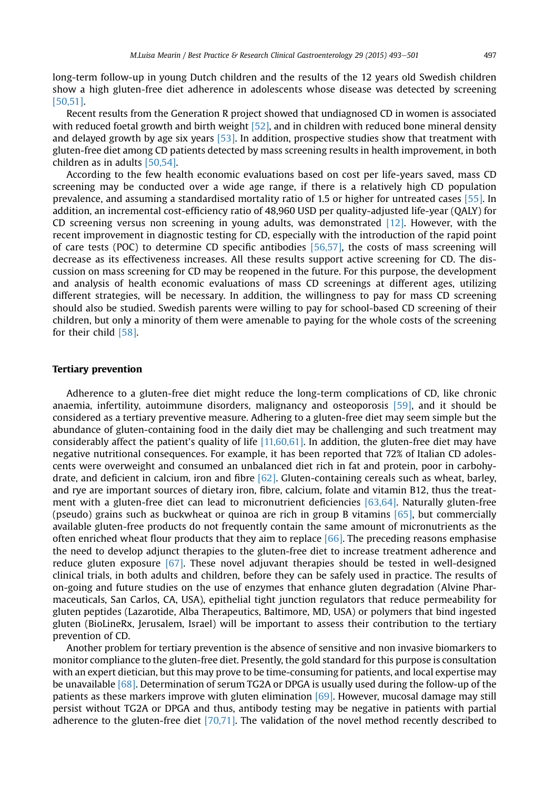long-term follow-up in young Dutch children and the results of the 12 years old Swedish children show a high gluten-free diet adherence in adolescents whose disease was detected by screening [\[50,51\].](#page-7-0)

Recent results from the Generation R project showed that undiagnosed CD in women is associated with reduced foetal growth and birth weight [\[52\],](#page-7-0) and in children with reduced bone mineral density and delayed growth by age six years [\[53\].](#page-7-0) In addition, prospective studies show that treatment with gluten-free diet among CD patients detected by mass screening results in health improvement, in both children as in adults [\[50,54\].](#page-7-0)

According to the few health economic evaluations based on cost per life-years saved, mass CD screening may be conducted over a wide age range, if there is a relatively high CD population prevalence, and assuming a standardised mortality ratio of 1.5 or higher for untreated cases [\[55\].](#page-7-0) In addition, an incremental cost-efficiency ratio of 48,960 USD per quality-adjusted life-year (QALY) for CD screening versus non screening in young adults, was demonstrated [\[12\]](#page-6-0). However, with the recent improvement in diagnostic testing for CD, especially with the introduction of the rapid point of care tests (POC) to determine CD specific antibodies [\[56,57\]](#page-7-0), the costs of mass screening will decrease as its effectiveness increases. All these results support active screening for CD. The discussion on mass screening for CD may be reopened in the future. For this purpose, the development and analysis of health economic evaluations of mass CD screenings at different ages, utilizing different strategies, will be necessary. In addition, the willingness to pay for mass CD screening should also be studied. Swedish parents were willing to pay for school-based CD screening of their children, but only a minority of them were amenable to paying for the whole costs of the screening for their child [\[58\].](#page-7-0)

# Tertiary prevention

Adherence to a gluten-free diet might reduce the long-term complications of CD, like chronic anaemia, infertility, autoimmune disorders, malignancy and osteoporosis [\[59\],](#page-7-0) and it should be considered as a tertiary preventive measure. Adhering to a gluten-free diet may seem simple but the abundance of gluten-containing food in the daily diet may be challenging and such treatment may considerably affect the patient's quality of life [\[11,60,61\].](#page-6-0) In addition, the gluten-free diet may have negative nutritional consequences. For example, it has been reported that 72% of Italian CD adolescents were overweight and consumed an unbalanced diet rich in fat and protein, poor in carbohydrate, and deficient in calcium, iron and fibre  $[62]$ . Gluten-containing cereals such as wheat, barley, and rye are important sources of dietary iron, fibre, calcium, folate and vitamin B12, thus the treatment with a gluten-free diet can lead to micronutrient deficiencies [\[63,64\].](#page-7-0) Naturally gluten-free (pseudo) grains such as buckwheat or quinoa are rich in group B vitamins [\[65\]](#page-7-0), but commercially available gluten-free products do not frequently contain the same amount of micronutrients as the often enriched wheat flour products that they aim to replace [\[66\]](#page-7-0). The preceding reasons emphasise the need to develop adjunct therapies to the gluten-free diet to increase treatment adherence and reduce gluten exposure [\[67\]](#page-7-0). These novel adjuvant therapies should be tested in well-designed clinical trials, in both adults and children, before they can be safely used in practice. The results of on-going and future studies on the use of enzymes that enhance gluten degradation (Alvine Pharmaceuticals, San Carlos, CA, USA), epithelial tight junction regulators that reduce permeability for gluten peptides (Lazarotide, Alba Therapeutics, Baltimore, MD, USA) or polymers that bind ingested gluten (BioLineRx, Jerusalem, Israel) will be important to assess their contribution to the tertiary prevention of CD.

Another problem for tertiary prevention is the absence of sensitive and non invasive biomarkers to monitor compliance to the gluten-free diet. Presently, the gold standard for this purpose is consultation with an expert dietician, but this may prove to be time-consuming for patients, and local expertise may be unavailable [\[68\].](#page-7-0) Determination of serum TG2A or DPGA is usually used during the follow-up of the patients as these markers improve with gluten elimination [\[69\].](#page-7-0) However, mucosal damage may still persist without TG2A or DPGA and thus, antibody testing may be negative in patients with partial adherence to the gluten-free diet [\[70,71\].](#page-8-0) The validation of the novel method recently described to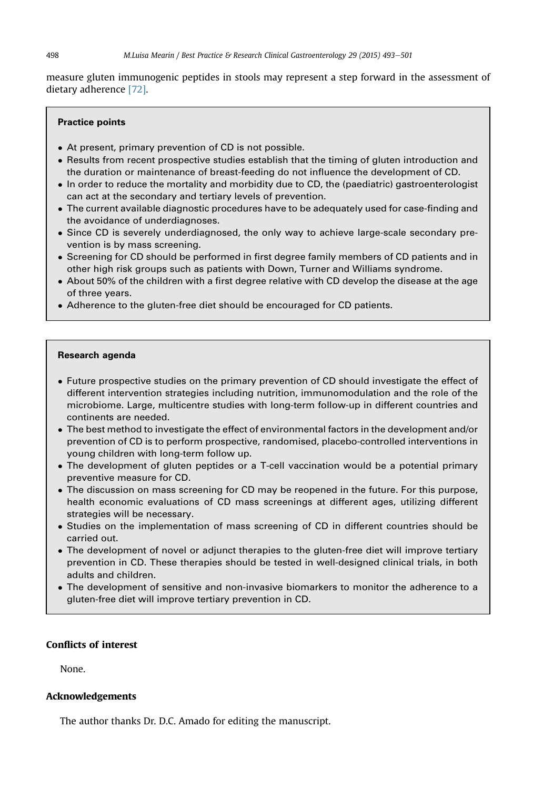measure gluten immunogenic peptides in stools may represent a step forward in the assessment of dietary adherence [\[72\].](#page-8-0)

# Practice points

- At present, primary prevention of CD is not possible.
- Results from recent prospective studies establish that the timing of gluten introduction and the duration or maintenance of breast-feeding do not influence the development of CD.
- $\bullet$  In order to reduce the mortality and morbidity due to CD, the (paediatric) gastroenterologist can act at the secondary and tertiary levels of prevention.
- The current available diagnostic procedures have to be adequately used for case-finding and the avoidance of underdiagnoses.
- Since CD is severely underdiagnosed, the only way to achieve large-scale secondary prevention is by mass screening.
- Screening for CD should be performed in first degree family members of CD patients and in other high risk groups such as patients with Down, Turner and Williams syndrome.
- $\bullet$  About 50% of the children with a first degree relative with CD develop the disease at the age of three years.
- Adherence to the gluten-free diet should be encouraged for CD patients.

### Research agenda

- Future prospective studies on the primary prevention of CD should investigate the effect of different intervention strategies including nutrition, immunomodulation and the role of the microbiome. Large, multicentre studies with long-term follow-up in different countries and continents are needed.
- $\bullet$  The best method to investigate the effect of environmental factors in the development and/or prevention of CD is to perform prospective, randomised, placebo-controlled interventions in young children with long-term follow up.
- The development of gluten peptides or a T-cell vaccination would be a potential primary preventive measure for CD.
- The discussion on mass screening for CD may be reopened in the future. For this purpose, health economic evaluations of CD mass screenings at different ages, utilizing different strategies will be necessary.
- Studies on the implementation of mass screening of CD in different countries should be carried out.
- The development of novel or adjunct therapies to the gluten-free diet will improve tertiary prevention in CD. These therapies should be tested in well-designed clinical trials, in both adults and children.
- The development of sensitive and non-invasive biomarkers to monitor the adherence to a gluten-free diet will improve tertiary prevention in CD.

# Conflicts of interest

None.

### Acknowledgements

The author thanks Dr. D.C. Amado for editing the manuscript.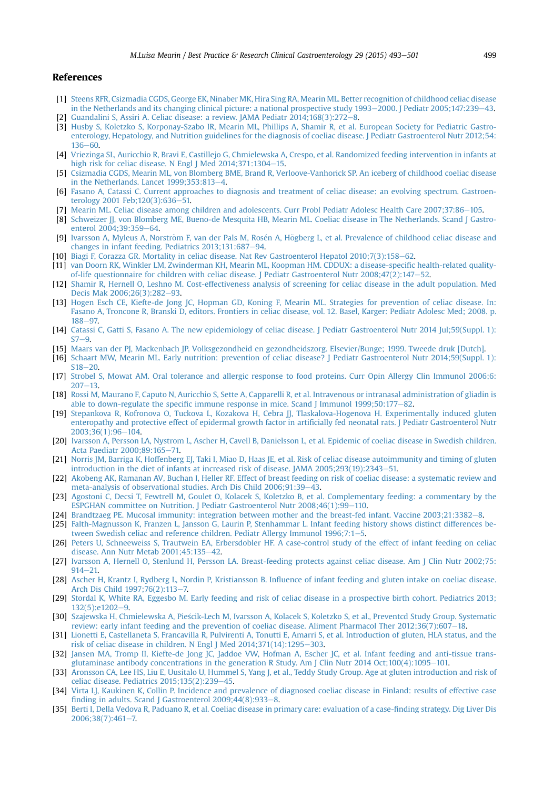#### <span id="page-6-0"></span>References

- [1] [Steens RFR, Csizmadia CGDS, George EK, Ninaber MK, Hira Sing RA, Mearin ML. Better recognition of childhood celiac disease](http://refhub.elsevier.com/S1521-6918(15)00050-5/sref1) in the Netherlands and its changing clinical picture: a national prospective study  $1993-2000$ . J Pediatr 2005;147:239-[43](http://refhub.elsevier.com/S1521-6918(15)00050-5/sref1). [2] [Guandalini S, Assiri A. Celiac disease: a review. JAMA Pediatr 2014;168\(3\):272](http://refhub.elsevier.com/S1521-6918(15)00050-5/sref2)-[8](http://refhub.elsevier.com/S1521-6918(15)00050-5/sref2).
- [3] [Husby S, Koletzko S, Korponay-Szabo IR, Mearin ML, Phillips A, Shamir R, et al. European Society for Pediatric Gastro](http://refhub.elsevier.com/S1521-6918(15)00050-5/sref3)[enterology, Hepatology, and Nutrition guidelines for the diagnosis of coeliac disease. J Pediatr Gastroenterol Nutr 2012;54:](http://refhub.elsevier.com/S1521-6918(15)00050-5/sref3)  $136 - 60.$  $136 - 60.$  $136 - 60.$
- [4] [Vriezinga SL, Auricchio R, Bravi E, Castillejo G, Chmielewska A, Crespo, et al. Randomized feeding intervention in infants at](http://refhub.elsevier.com/S1521-6918(15)00050-5/sref4) [high risk for celiac disease. N Engl J Med 2014;371:1304](http://refhub.elsevier.com/S1521-6918(15)00050-5/sref4)-[15](http://refhub.elsevier.com/S1521-6918(15)00050-5/sref4).
- [5] [Csizmadia CGDS, Mearin ML, von Blomberg BME, Brand R, Verloove-Vanhorick SP. An iceberg of childhood coeliac disease](http://refhub.elsevier.com/S1521-6918(15)00050-5/sref5) in the Netherlands. Lancet  $1999;353:813-4$  $1999;353:813-4$ .
- [6] [Fasano A, Catassi C. Current approaches to diagnosis and treatment of celiac disease: an evolving spectrum. Gastroen](http://refhub.elsevier.com/S1521-6918(15)00050-5/sref6)[terology 2001 Feb;120\(3\):636](http://refhub.elsevier.com/S1521-6918(15)00050-5/sref6)-[51.](http://refhub.elsevier.com/S1521-6918(15)00050-5/sref6)
- [7] Mearin ML, Celiac disease among children and adolescents. Curr Probl Pediatr Adolesc Health Care 2007;37:86-[105.](http://refhub.elsevier.com/S1521-6918(15)00050-5/sref7)
- [8] [Schweizer JJ, von Blomberg ME, Bueno-de Mesquita HB, Mearin ML. Coeliac disease in The Netherlands. Scand J Gastro](http://refhub.elsevier.com/S1521-6918(15)00050-5/sref8)[enterol 2004;39:359](http://refhub.elsevier.com/S1521-6918(15)00050-5/sref8)-[64.](http://refhub.elsevier.com/S1521-6918(15)00050-5/sref8)
- [9] Ivarsson A, Myleus A, Norström F, van der Pals M, Rosé[n A, H](http://refhub.elsevier.com/S1521-6918(15)00050-5/sref9)ö[gberg L, et al. Prevalence of childhood celiac disease and](http://refhub.elsevier.com/S1521-6918(15)00050-5/sref9) [changes in infant feeding. Pediatrics 2013;131:687](http://refhub.elsevier.com/S1521-6918(15)00050-5/sref9)-[94.](http://refhub.elsevier.com/S1521-6918(15)00050-5/sref9)
- [10] [Biagi F, Corazza GR. Mortality in celiac disease. Nat Rev Gastroenterol Hepatol 2010;7\(3\):158](http://refhub.elsevier.com/S1521-6918(15)00050-5/sref10)–[62.](http://refhub.elsevier.com/S1521-6918(15)00050-5/sref10)
- [11] [van Doorn RK, Winkler LM, Zwinderman KH, Mearin ML, Koopman HM. CDDUX: a disease-speci](http://refhub.elsevier.com/S1521-6918(15)00050-5/sref11)fic health-related quality[of-life questionnaire for children with celiac disease. J Pediatr Gastroenterol Nutr 2008;47\(2\):147](http://refhub.elsevier.com/S1521-6918(15)00050-5/sref11)-[52](http://refhub.elsevier.com/S1521-6918(15)00050-5/sref11).
- [12] [Shamir R, Hernell O, Leshno M. Cost-effectiveness analysis of screening for celiac disease in the adult population. Med](http://refhub.elsevier.com/S1521-6918(15)00050-5/sref12) [Decis Mak 2006;26\(3\):282](http://refhub.elsevier.com/S1521-6918(15)00050-5/sref12)-[93](http://refhub.elsevier.com/S1521-6918(15)00050-5/sref12).
- [13] [Hogen Esch CE, Kiefte-de Jong JC, Hopman GD, Koning F, Mearin ML. Strategies for prevention of celiac disease. In:](http://refhub.elsevier.com/S1521-6918(15)00050-5/sref13) [Fasano A, Troncone R, Branski D, editors. Frontiers in celiac disease, vol. 12. Basel, Karger: Pediatr Adolesc Med; 2008. p.](http://refhub.elsevier.com/S1521-6918(15)00050-5/sref13) [188](http://refhub.elsevier.com/S1521-6918(15)00050-5/sref13)-97
- [14] [Catassi C, Gatti S, Fasano A. The new epidemiology of celiac disease. J Pediatr Gastroenterol Nutr 2014 Jul;59\(Suppl. 1\):](http://refhub.elsevier.com/S1521-6918(15)00050-5/sref14)  $S7 - 9$  $S7 - 9$  $S7 - 9$
- [15] [Maars van der PJ, Mackenbach JP. Volksgezondheid en gezondheidszorg. Elsevier/Bunge; 1999. Tweede druk \[Dutch\]](http://refhub.elsevier.com/S1521-6918(15)00050-5/sref15).
- [16] [Schaart MW, Mearin ML. Early nutrition: prevention of celiac disease? J Pediatr Gastroenterol Nutr 2014;59\(Suppl. 1\):](http://refhub.elsevier.com/S1521-6918(15)00050-5/sref16)  $S18 - 20.$  $S18 - 20.$  $S18 - 20.$  $S18 - 20.$
- [17] [Strobel S, Mowat AM. Oral tolerance and allergic response to food proteins. Curr Opin Allergy Clin Immunol 2006;6:](http://refhub.elsevier.com/S1521-6918(15)00050-5/sref17)  $207 - 13$  $207 - 13$  $207 - 13$ .
- [18] [Rossi M, Maurano F, Caputo N, Auricchio S, Sette A, Capparelli R, et al. Intravenous or intranasal administration of gliadin is](http://refhub.elsevier.com/S1521-6918(15)00050-5/sref18) able to down-regulate the specifi[c immune response in mice. Scand J Immunol 1999;50:177](http://refhub.elsevier.com/S1521-6918(15)00050-5/sref18)-[82.](http://refhub.elsevier.com/S1521-6918(15)00050-5/sref18)
- [19] [Stepankova R, Kofronova O, Tuckova L, Kozakova H, Cebra JJ, Tlaskalova-Hogenova H. Experimentally induced gluten](http://refhub.elsevier.com/S1521-6918(15)00050-5/sref19) [enteropathy and protective effect of epidermal growth factor in arti](http://refhub.elsevier.com/S1521-6918(15)00050-5/sref19)ficially fed neonatal rats. J Pediatr Gastroenterol Nutr  $2003:36(1):96-104.$  $2003:36(1):96-104.$
- [20] [Ivarsson A, Persson LA, Nystrom L, Ascher H, Cavell B, Danielsson L, et al. Epidemic of coeliac disease in Swedish children.](http://refhub.elsevier.com/S1521-6918(15)00050-5/sref20) [Acta Paediatr 2000;89:165](http://refhub.elsevier.com/S1521-6918(15)00050-5/sref20)-[71.](http://refhub.elsevier.com/S1521-6918(15)00050-5/sref20)
- [21] [Norris JM, Barriga K, Hoffenberg EJ, Taki I, Miao D, Haas JE, et al. Risk of celiac disease autoimmunity and timing of gluten](http://refhub.elsevier.com/S1521-6918(15)00050-5/sref21) [introduction in the diet of infants at increased risk of disease. JAMA 2005;293\(19\):2343](http://refhub.elsevier.com/S1521-6918(15)00050-5/sref21)-[51.](http://refhub.elsevier.com/S1521-6918(15)00050-5/sref21)
- [22] [Akobeng AK, Ramanan AV, Buchan I, Heller RF. Effect of breast feeding on risk of coeliac disease: a systematic review and](http://refhub.elsevier.com/S1521-6918(15)00050-5/sref22) [meta-analysis of observational studies. Arch Dis Child 2006;91:39](http://refhub.elsevier.com/S1521-6918(15)00050-5/sref22)-[43.](http://refhub.elsevier.com/S1521-6918(15)00050-5/sref22)
- [23] [Agostoni C, Decsi T, Fewtrell M, Goulet O, Kolacek S, Koletzko B, et al. Complementary feeding: a commentary by the](http://refhub.elsevier.com/S1521-6918(15)00050-5/sref23) [ESPGHAN committee on Nutrition. J Pediatr Gastroenterol Nutr 2008;46\(1\):99](http://refhub.elsevier.com/S1521-6918(15)00050-5/sref23)-[110.](http://refhub.elsevier.com/S1521-6918(15)00050-5/sref23)
- [24] [Brandtzaeg PE. Mucosal immunity: integration between mother and the breast-fed infant. Vaccine 2003;21:3382](http://refhub.elsevier.com/S1521-6918(15)00050-5/sref24)-[8.](http://refhub.elsevier.com/S1521-6918(15)00050-5/sref24)
- [25] [Falth-Magnusson K, Franzen L, Jansson G, Laurin P, Stenhammar L. Infant feeding history shows distinct differences be](http://refhub.elsevier.com/S1521-6918(15)00050-5/sref25)[tween Swedish celiac and reference children. Pediatr Allergy Immunol 1996;7:1](http://refhub.elsevier.com/S1521-6918(15)00050-5/sref25)-[5](http://refhub.elsevier.com/S1521-6918(15)00050-5/sref25).
- [26] [Peters U, Schneeweiss S, Trautwein EA, Erbersdobler HF. A case-control study of the effect of infant feeding on celiac](http://refhub.elsevier.com/S1521-6918(15)00050-5/sref26) [disease. Ann Nutr Metab 2001;45:135](http://refhub.elsevier.com/S1521-6918(15)00050-5/sref26)-[42](http://refhub.elsevier.com/S1521-6918(15)00050-5/sref26).
- [27] [Ivarsson A, Hernell O, Stenlund H, Persson LA. Breast-feeding protects against celiac disease. Am J Clin Nutr 2002;75:](http://refhub.elsevier.com/S1521-6918(15)00050-5/sref27)  $914 - 21$  $914 - 21$
- [28] Ascher H, Krantz I, Rydberg L, Nordin P, Kristiansson B. Infl[uence of infant feeding and gluten intake on coeliac disease.](http://refhub.elsevier.com/S1521-6918(15)00050-5/sref28) [Arch Dis Child 1997;76\(2\):113](http://refhub.elsevier.com/S1521-6918(15)00050-5/sref28)-[7.](http://refhub.elsevier.com/S1521-6918(15)00050-5/sref28)
- [29] [Stordal K, White RA, Eggesbo M. Early feeding and risk of celiac disease in a prospective birth cohort. Pediatrics 2013;](http://refhub.elsevier.com/S1521-6918(15)00050-5/sref29)  $132(5):e1202-9.$  $132(5):e1202-9.$  $132(5):e1202-9.$
- [30] [Szajewska H, Chmielewska A, Pie](http://refhub.elsevier.com/S1521-6918(15)00050-5/sref30)ś[cik-Lech M, Ivarsson A, Kolacek S, Koletzko S, et al., Preventcd Study Group. Systematic](http://refhub.elsevier.com/S1521-6918(15)00050-5/sref30) [review: early infant feeding and the prevention of coeliac disease. Aliment Pharmacol Ther 2012;36\(7\):607](http://refhub.elsevier.com/S1521-6918(15)00050-5/sref30)–[18](http://refhub.elsevier.com/S1521-6918(15)00050-5/sref30).
- [31] [Lionetti E, Castellaneta S, Francavilla R, Pulvirenti A, Tonutti E, Amarri S, et al. Introduction of gluten, HLA status, and the](http://refhub.elsevier.com/S1521-6918(15)00050-5/sref31) risk of celiac disease in children. N Engl J Med  $2014;371(14):1295-303$ .
- [32] [Jansen MA, Tromp II, Kiefte-de Jong JC, Jaddoe VW, Hofman A, Escher JC, et al. Infant feeding and anti-tissue trans](http://refhub.elsevier.com/S1521-6918(15)00050-5/sref32)[glutaminase antibody concentrations in the generation R Study. Am J Clin Nutr 2014 Oct;100\(4\):1095](http://refhub.elsevier.com/S1521-6918(15)00050-5/sref32)-[101.](http://refhub.elsevier.com/S1521-6918(15)00050-5/sref32)
- [33] [Aronsson CA, Lee HS, Liu E, Uusitalo U, Hummel S, Yang J, et al., Teddy Study Group. Age at gluten introduction and risk of](http://refhub.elsevier.com/S1521-6918(15)00050-5/sref33) [celiac disease. Pediatrics 2015;135\(2\):239](http://refhub.elsevier.com/S1521-6918(15)00050-5/sref33)-[45.](http://refhub.elsevier.com/S1521-6918(15)00050-5/sref33)
- [34] [Virta LJ, Kaukinen K, Collin P. Incidence and prevalence of diagnosed coeliac disease in Finland: results of effective case](http://refhub.elsevier.com/S1521-6918(15)00050-5/sref34) finding in adults. Scand I Gastroenterol  $2009:44(8):933-8$ .
- [35] [Berti I, Della Vedova R, Paduano R, et al. Coeliac disease in primary care: evaluation of a case-](http://refhub.elsevier.com/S1521-6918(15)00050-5/sref35)finding strategy. Dig Liver Dis  $2006:38(7):461-7.$  $2006:38(7):461-7.$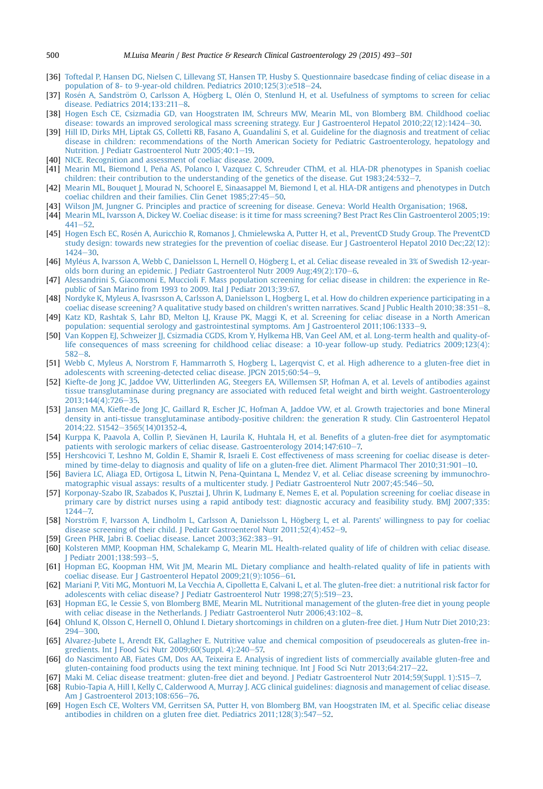- <span id="page-7-0"></span>[36] [Toftedal P, Hansen DG, Nielsen C, Lillevang ST, Hansen TP, Husby S. Questionnaire basedcase](http://refhub.elsevier.com/S1521-6918(15)00050-5/sref36) finding of celiac disease in a [population of 8- to 9-year-old children. Pediatrics 2010;125\(3\):e518](http://refhub.elsevier.com/S1521-6918(15)00050-5/sref36)-[24.](http://refhub.elsevier.com/S1521-6918(15)00050-5/sref36)
- [37] Rosén A, Sandströ[m O, Carlsson A, H](http://refhub.elsevier.com/S1521-6918(15)00050-5/sref37)ögberg L, Olé[n O, Stenlund H, et al. Usefulness of symptoms to screen for celiac](http://refhub.elsevier.com/S1521-6918(15)00050-5/sref37) disease. Pediatrics  $2014:133:211-8$  $2014:133:211-8$ .
- [38] [Hogen Esch CE, Csizmadia GD, van Hoogstraten IM, Schreurs MW, Mearin ML, von Blomberg BM. Childhood coeliac](http://refhub.elsevier.com/S1521-6918(15)00050-5/sref38) [disease: towards an improved serological mass screening strategy. Eur J Gastroenterol Hepatol 2010;22\(12\):1424](http://refhub.elsevier.com/S1521-6918(15)00050-5/sref38)-[30](http://refhub.elsevier.com/S1521-6918(15)00050-5/sref38).
- [39] [Hill ID, Dirks MH, Liptak GS, Colletti RB, Fasano A, Guandalini S, et al. Guideline for the diagnosis and treatment of celiac](http://refhub.elsevier.com/S1521-6918(15)00050-5/sref39) [disease in children: recommendations of the North American Society for Pediatric Gastroenterology, hepatology and](http://refhub.elsevier.com/S1521-6918(15)00050-5/sref39) Nutrition. J Pediatr Gastroenterol Nutr 2005:40:1-[19.](http://refhub.elsevier.com/S1521-6918(15)00050-5/sref39)
- [40] [NICE. Recognition and assessment of coeliac disease. 2009](http://refhub.elsevier.com/S1521-6918(15)00050-5/sref40).
- [41] [Mearin ML, Biemond I, Pena AS, Polanco I, Vazquez C, Schreuder CThM, et al. HLA-DR phenotypes in Spanish coeliac](http://refhub.elsevier.com/S1521-6918(15)00050-5/sref41) ~ [children: their contribution to the understanding of the genetics of the disease. Gut 1983;24:532](http://refhub.elsevier.com/S1521-6918(15)00050-5/sref41)-[7.](http://refhub.elsevier.com/S1521-6918(15)00050-5/sref41)
- [42] [Mearin ML, Bouquet J, Mourad N, Schoorel E, Sinaasappel M, Biemond I, et al. HLA-DR antigens and phenotypes in Dutch](http://refhub.elsevier.com/S1521-6918(15)00050-5/sref42) coeliac children and their families. Clin Genet  $1985;27:45-50$ .
- [43] [Wilson JM, Jungner G. Principles and practice of screening for disease. Geneva: World Health Organisation; 1968](http://refhub.elsevier.com/S1521-6918(15)00050-5/sref43).
- [44] [Mearin ML, Ivarsson A, Dickey W. Coeliac disease: is it time for mass screening? Best Pract Res Clin Gastroenterol 2005;19:](http://refhub.elsevier.com/S1521-6918(15)00050-5/sref44)  $441 - 52$  $441 - 52$
- [45] [Hogen Esch EC, Rosen A, Auricchio R, Romanos J, Chmielewska A, Putter H, et al., PreventCD Study Group. The PreventCD](http://refhub.elsevier.com/S1521-6918(15)00050-5/sref45) [study design: towards new strategies for the prevention of coeliac disease. Eur J Gastroenterol Hepatol 2010 Dec;22\(12\):](http://refhub.elsevier.com/S1521-6918(15)00050-5/sref45)  $1424 - 30.$  $1424 - 30.$  $1424 - 30.$  $1424 - 30.$
- [46] Myléus A, Ivarsson A, Webb C, Danielsson L, Hernell O, Hö[gberg L, et al. Celiac disease revealed in 3% of Swedish 12-year-](http://refhub.elsevier.com/S1521-6918(15)00050-5/sref46) olds born during an epidemic. J Pediatr Gastroenterol Nutr 2009 Aug; 49(2): 170-[6.](http://refhub.elsevier.com/S1521-6918(15)00050-5/sref46)
- [47] [Alessandrini S, Giacomoni E, Muccioli F. Mass population screening for celiac disease in children: the experience in Re](http://refhub.elsevier.com/S1521-6918(15)00050-5/sref47)[public of San Marino from 1993 to 2009. Ital J Pediatr 2013;39:67.](http://refhub.elsevier.com/S1521-6918(15)00050-5/sref47)
- [48] [Nordyke K, Myleus A, Ivasrsson A, Carlsson A, Danielsson L, Hogberg L, et al. How do children experience participating in a](http://refhub.elsevier.com/S1521-6918(15)00050-5/sref48) coeliac disease screening? A qualitative study based on children's written narratives. Scand I Public Health 2010:38:351-[8.](http://refhub.elsevier.com/S1521-6918(15)00050-5/sref48)
- [49] [Katz KD, Rashtak S, Lahr BD, Melton LJ, Krause PK, Maggi K, et al. Screening for celiac disease in a North American](http://refhub.elsevier.com/S1521-6918(15)00050-5/sref49) [population: sequential serology and gastrointestinal symptoms. Am J Gastroenterol 2011;106:1333](http://refhub.elsevier.com/S1521-6918(15)00050-5/sref49)-[9](http://refhub.elsevier.com/S1521-6918(15)00050-5/sref49).
- [50] [Van Koppen EJ, Schweizer JJ, Csizmadia CGDS, Krom Y, Hylkema HB, Van Geel AM, et al. Long-term health and quality-of](http://refhub.elsevier.com/S1521-6918(15)00050-5/sref50)[life consequences of mass screening for childhood celiac disease: a 10-year follow-up study. Pediatrics 2009;123\(4\):](http://refhub.elsevier.com/S1521-6918(15)00050-5/sref50)  $582 - 8$  $582 - 8$  $582 - 8$
- [51] [Webb C, Myleus A, Norstrom F, Hammarroth S, Hogberg L, Lagerqvist C, et al. High adherence to a gluten-free diet in](http://refhub.elsevier.com/S1521-6918(15)00050-5/sref51) [adolescents with screening-detected celiac disease. JPGN 2015;60:54](http://refhub.elsevier.com/S1521-6918(15)00050-5/sref51)-[9.](http://refhub.elsevier.com/S1521-6918(15)00050-5/sref51)
- [52] [Kiefte-de Jong JC, Jaddoe VW, Uitterlinden AG, Steegers EA, Willemsen SP, Hofman A, et al. Levels of antibodies against](http://refhub.elsevier.com/S1521-6918(15)00050-5/sref52) [tissue transglutaminase during pregnancy are associated with reduced fetal weight and birth weight. Gastroenterology](http://refhub.elsevier.com/S1521-6918(15)00050-5/sref52) [2013;144\(4\):726](http://refhub.elsevier.com/S1521-6918(15)00050-5/sref52)-[35.](http://refhub.elsevier.com/S1521-6918(15)00050-5/sref52)
- [53] [Jansen MA, Kiefte-de Jong JC, Gaillard R, Escher JC, Hofman A, Jaddoe VW, et al. Growth trajectories and bone Mineral](http://refhub.elsevier.com/S1521-6918(15)00050-5/sref53) [density in anti-tissue transglutaminase antibody-positive children: the generation R study. Clin Gastroenterol Hepatol](http://refhub.elsevier.com/S1521-6918(15)00050-5/sref53) [2014;22. S1542](http://refhub.elsevier.com/S1521-6918(15)00050-5/sref53)-[3565\(14\)01352-4](http://refhub.elsevier.com/S1521-6918(15)00050-5/sref53).
- [54] Kurppa K, Paavola A, Collin P, Sievänen H, Laurila K, Huhtala H, et al. Benefi[ts of a gluten-free diet for asymptomatic](http://refhub.elsevier.com/S1521-6918(15)00050-5/sref54) [patients with serologic markers of celiac disease. Gastroenterology 2014;147:610](http://refhub.elsevier.com/S1521-6918(15)00050-5/sref54)-[7.](http://refhub.elsevier.com/S1521-6918(15)00050-5/sref54)
- [55] [Hershcovici T, Leshno M, Goldin E, Shamir R, Israeli E. Cost effectiveness of mass screening for coeliac disease is deter](http://refhub.elsevier.com/S1521-6918(15)00050-5/sref55)[mined by time-delay to diagnosis and quality of life on a gluten-free diet. Aliment Pharmacol Ther 2010;31:901](http://refhub.elsevier.com/S1521-6918(15)00050-5/sref55)-[10.](http://refhub.elsevier.com/S1521-6918(15)00050-5/sref55)
- [56] [Baviera LC, Aliaga ED, Ortigosa L, Litwin N, Pena-Quintana L, Mendez V, et al. Celiac disease screening by immunochro](http://refhub.elsevier.com/S1521-6918(15)00050-5/sref56)[matographic visual assays: results of a multicenter study. J Pediatr Gastroenterol Nutr 2007;45:546](http://refhub.elsevier.com/S1521-6918(15)00050-5/sref56)-[50](http://refhub.elsevier.com/S1521-6918(15)00050-5/sref56).
- [57] [Korponay-Szabo IR, Szabados K, Pusztai J, Uhrin K, Ludmany E, Nemes E, et al. Population screening for coeliac disease in](http://refhub.elsevier.com/S1521-6918(15)00050-5/sref57) [primary care by district nurses using a rapid antibody test: diagnostic accuracy and feasibility study. BMJ 2007;335:](http://refhub.elsevier.com/S1521-6918(15)00050-5/sref57)  $1244 - 7.$  $1244 - 7.$  $1244 - 7.$
- [58] Norström F, Ivarsson A, Lindholm L, Carlsson A, Danielsson L, Högberg L, et al. Parents' willingness to pay for coeliac disease screening of their child. J Pediatr Gastroenterol Nutr  $2011;52(4):452-9$  $2011;52(4):452-9$ .
- [59] [Green PHR, Jabri B. Coeliac disease. Lancet 2003;362:383](http://refhub.elsevier.com/S1521-6918(15)00050-5/sref59)-[91.](http://refhub.elsevier.com/S1521-6918(15)00050-5/sref59)
- [60] [Kolsteren MMP, Koopman HM, Schalekamp G, Mearin ML. Health-related quality of life of children with celiac disease.](http://refhub.elsevier.com/S1521-6918(15)00050-5/sref60) [J Pediatr 2001;138:593](http://refhub.elsevier.com/S1521-6918(15)00050-5/sref60)-[5.](http://refhub.elsevier.com/S1521-6918(15)00050-5/sref60)
- [61] [Hopman EG, Koopman HM, Wit JM, Mearin ML. Dietary compliance and health-related quality of life in patients with](http://refhub.elsevier.com/S1521-6918(15)00050-5/sref61) [coeliac disease. Eur J Gastroenterol Hepatol 2009;21\(9\):1056](http://refhub.elsevier.com/S1521-6918(15)00050-5/sref61)-[61.](http://refhub.elsevier.com/S1521-6918(15)00050-5/sref61)
- [62] [Mariani P, Viti MG, Montuori M, La Vecchia A, Cipolletta E, Calvani L, et al. The gluten-free diet: a nutritional risk factor for](http://refhub.elsevier.com/S1521-6918(15)00050-5/sref62) [adolescents with celiac disease? J Pediatr Gastroenterol Nutr 1998;27\(5\):519](http://refhub.elsevier.com/S1521-6918(15)00050-5/sref62)-[23](http://refhub.elsevier.com/S1521-6918(15)00050-5/sref62).
- [63] [Hopman EG, le Cessie S, von Blomberg BME, Mearin ML. Nutritional management of the gluten-free diet in young people](http://refhub.elsevier.com/S1521-6918(15)00050-5/sref63) with celiac disease in the Netherlands. J Pediatr Gastroenterol Nutr  $2006;43:102-8$  $2006;43:102-8$ .
- [64] [Ohlund K, Olsson C, Hernell O, Ohlund I. Dietary shortcomings in children on a gluten-free diet. J Hum Nutr Diet 2010;23:](http://refhub.elsevier.com/S1521-6918(15)00050-5/sref64) [294](http://refhub.elsevier.com/S1521-6918(15)00050-5/sref64)-[300](http://refhub.elsevier.com/S1521-6918(15)00050-5/sref64).
- [65] [Alvarez-Jubete L, Arendt EK, Gallagher E. Nutritive value and chemical composition of pseudocereals as gluten-free in](http://refhub.elsevier.com/S1521-6918(15)00050-5/sref65)gredients. Int J Food Sci Nutr  $2009;60(Suppl. 4):240-57$ .
- [66] [do Nascimento AB, Fiates GM, Dos AA, Teixeira E. Analysis of ingredient lists of commercially available gluten-free and](http://refhub.elsevier.com/S1521-6918(15)00050-5/sref66) gluten-containing food products using the text mining technique. Int  $\sqrt{160}$  Sci Nutr 2013;64:217–[22](http://refhub.elsevier.com/S1521-6918(15)00050-5/sref66).
- [67] [Maki M. Celiac disease treatment: gluten-free diet and beyond. J Pediatr Gastroenterol Nutr 2014;59\(Suppl. 1\):S15](http://refhub.elsevier.com/S1521-6918(15)00050-5/sref67)-[7.](http://refhub.elsevier.com/S1521-6918(15)00050-5/sref67)
- [68] [Rubio-Tapia A, Hill I, Kelly C, Calderwood A, Murray J. ACG clinical guidelines: diagnosis and management of celiac disease.](http://refhub.elsevier.com/S1521-6918(15)00050-5/sref68) [Am J Gastroenterol 2013;108:656](http://refhub.elsevier.com/S1521-6918(15)00050-5/sref68)-[76](http://refhub.elsevier.com/S1521-6918(15)00050-5/sref68).
- [69] [Hogen Esch CE, Wolters VM, Gerritsen SA, Putter H, von Blomberg BM, van Hoogstraten IM, et al. Speci](http://refhub.elsevier.com/S1521-6918(15)00050-5/sref69)fic celiac disease antibodies in children on a gluten free diet. Pediatrics  $2011;128(3):547-52$  $2011;128(3):547-52$ .